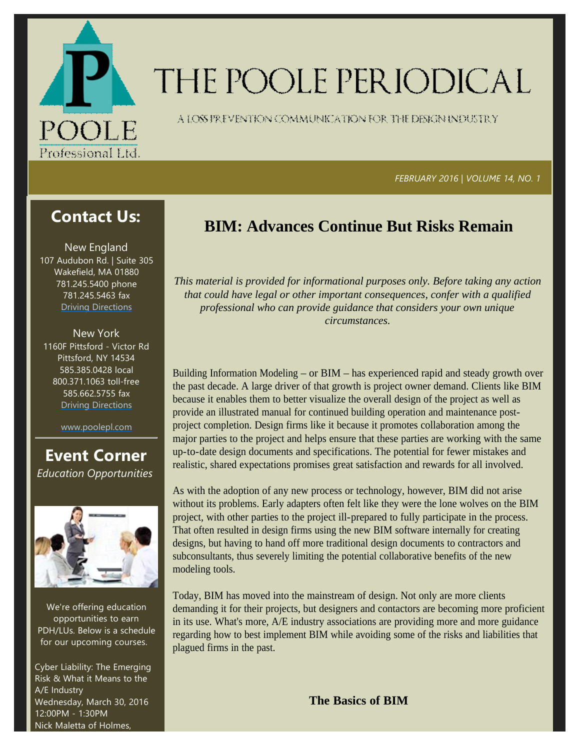

# THE POOLE PERIODICAL

A LOSS FREVENTION COMMUNICATION FOR THE DENGNINDUSTRY

 *FEBRUARY 2016 | VOLUME 14, NO. 1*

# **Contact Us:**

New England 107 Audubon Rd. | Suite 305 Wakefield, MA 01880 781.245.5400 phone 781.245.5463 fax Driving Directions

New York 1160F Pittsford ‐ Victor Rd Pittsford, NY 14534 585.385.0428 local 800.371.1063 toll‐free 585.662.5755 fax Driving Directions

www.poolepl.com

**Event Corner** *Education Opportunities*



We're offering education opportunities to earn PDH/LUs. Below is a schedule for our upcoming courses.

Cyber Liability: The Emerging Risk & What it Means to the A/E Industry Wednesday, March 30, 2016 12:00PM ‐ 1:30PM Nick Maletta of Holmes,

# **BIM: Advances Continue But Risks Remain**

*This material is provided for informational purposes only. Before taking any action that could have legal or other important consequences, confer with a qualified professional who can provide guidance that considers your own unique circumstances.*

Building Information Modeling – or BIM – has experienced rapid and steady growth over the past decade. A large driver of that growth is project owner demand. Clients like BIM because it enables them to better visualize the overall design of the project as well as provide an illustrated manual for continued building operation and maintenance postproject completion. Design firms like it because it promotes collaboration among the major parties to the project and helps ensure that these parties are working with the same up-to-date design documents and specifications. The potential for fewer mistakes and realistic, shared expectations promises great satisfaction and rewards for all involved.

As with the adoption of any new process or technology, however, BIM did not arise without its problems. Early adapters often felt like they were the lone wolves on the BIM project, with other parties to the project ill-prepared to fully participate in the process. That often resulted in design firms using the new BIM software internally for creating designs, but having to hand off more traditional design documents to contractors and subconsultants, thus severely limiting the potential collaborative benefits of the new modeling tools.

Today, BIM has moved into the mainstream of design. Not only are more clients demanding it for their projects, but designers and contactors are becoming more proficient in its use. What's more, A/E industry associations are providing more and more guidance regarding how to best implement BIM while avoiding some of the risks and liabilities that plagued firms in the past.

**The Basics of BIM**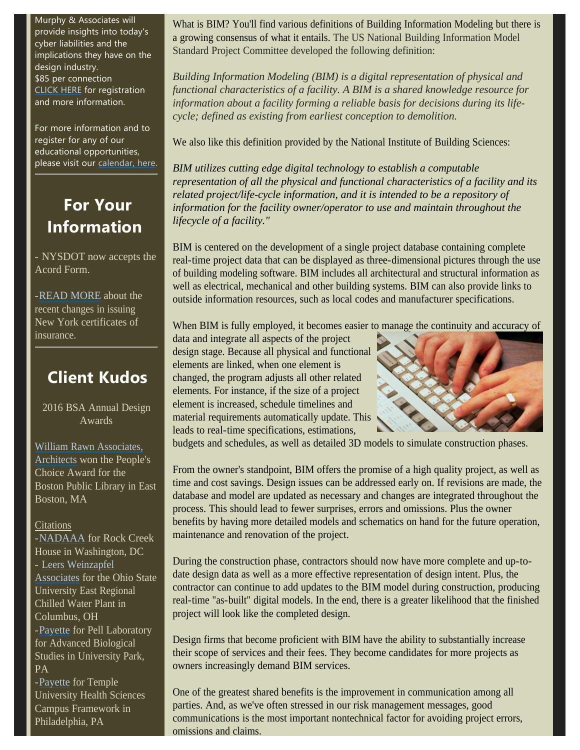Murphy & Associates will provide insights into today's cyber liabilities and the implications they have on the design industry. \$85 per connection CLICK HERE for registration and more information.

For more information and to register for any of our educational opportunities, please visit our calendar, here.

# **For Your Information**

- NYSDOT now accepts the Acord Form.

-READ MORE about the recent changes in issuing New York certificates of insurance.

# **Client Kudos**

2016 BSA Annual Design Awards

William Rawn Associates, Architects won the People's Choice Award for the Boston Public Library in East Boston, MA

### **Citations**

-NADAAA for Rock Creek House in Washington, DC - Leers Weinzapfel Associates for the Ohio State University East Regional Chilled Water Plant in Columbus, OH -Payette for Pell Laboratory for Advanced Biological Studies in University Park, PA

-Payette for Temple University Health Sciences Campus Framework in Philadelphia, PA

What is BIM? You'll find various definitions of Building Information Modeling but there is a growing consensus of what it entails. The US National Building Information Model Standard Project Committee developed the following definition:

*Building Information Modeling (BIM) is a digital representation of physical and functional characteristics of a facility. A BIM is a shared knowledge resource for information about a facility forming a reliable basis for decisions during its lifecycle; defined as existing from earliest conception to demolition.*

We also like this definition provided by the National Institute of Building Sciences:

*BIM utilizes cutting edge digital technology to establish a computable representation of all the physical and functional characteristics of a facility and its related project/life-cycle information, and it is intended to be a repository of information for the facility owner/operator to use and maintain throughout the lifecycle of a facility."*

BIM is centered on the development of a single project database containing complete real-time project data that can be displayed as three-dimensional pictures through the use of building modeling software. BIM includes all architectural and structural information as well as electrical, mechanical and other building systems. BIM can also provide links to outside information resources, such as local codes and manufacturer specifications.

When BIM is fully employed, it becomes easier to manage the continuity and accuracy of

data and integrate all aspects of the project design stage. Because all physical and functional elements are linked, when one element is changed, the program adjusts all other related elements. For instance, if the size of a project element is increased, schedule timelines and material requirements automatically update. This leads to real-time specifications, estimations,



budgets and schedules, as well as detailed 3D models to simulate construction phases.

From the owner's standpoint, BIM offers the promise of a high quality project, as well as time and cost savings. Design issues can be addressed early on. If revisions are made, the database and model are updated as necessary and changes are integrated throughout the process. This should lead to fewer surprises, errors and omissions. Plus the owner benefits by having more detailed models and schematics on hand for the future operation, maintenance and renovation of the project.

During the construction phase, contractors should now have more complete and up-todate design data as well as a more effective representation of design intent. Plus, the contractor can continue to add updates to the BIM model during construction, producing real-time "as-built" digital models. In the end, there is a greater likelihood that the finished project will look like the completed design.

Design firms that become proficient with BIM have the ability to substantially increase their scope of services and their fees. They become candidates for more projects as owners increasingly demand BIM services.

One of the greatest shared benefits is the improvement in communication among all parties. And, as we've often stressed in our risk management messages, good communications is the most important nontechnical factor for avoiding project errors, omissions and claims.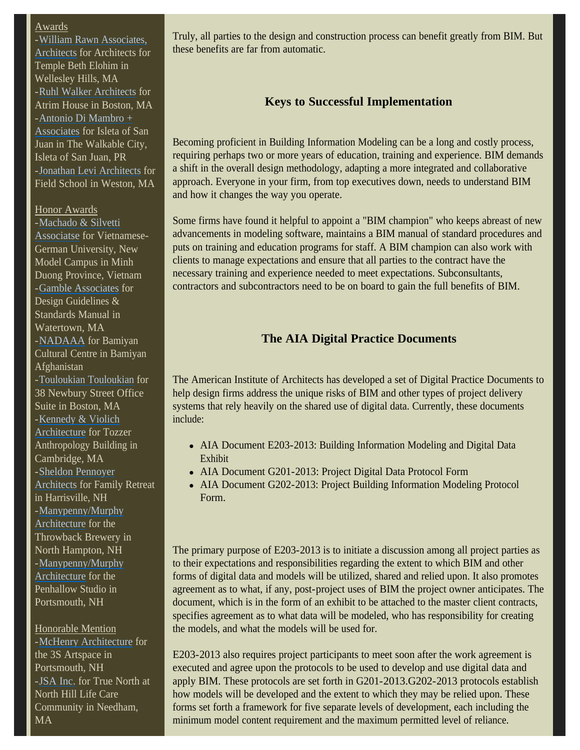#### Awards

-William Rawn Associates, Architects for Architects for Temple Beth Elohim in Wellesley Hills, MA -Ruhl Walker Architects for Atrim House in Boston, MA -Antonio Di Mambro + Associates for Isleta of San Juan in The Walkable City, Isleta of San Juan, PR -Jonathan Levi Architects for Field School in Weston, MA

#### Honor Awards

-Machado & Silvetti Associatse for Vietnamese-German University, New Model Campus in Minh Duong Province, Vietnam -Gamble Associates for Design Guidelines & Standards Manual in Watertown, MA -NADAAA for Bamiyan Cultural Centre in Bamiyan Afghanistan -Touloukian Touloukian for 38 Newbury Street Office Suite in Boston, MA -Kennedy & Violich Architecture for Tozzer Anthropology Building in Cambridge, MA -Sheldon Pennoyer Architects for Family Retreat in Harrisville, NH -Manypenny/Murphy Architecture for the Throwback Brewery in North Hampton, NH -Manypenny/Murphy Architecture for the Penhallow Studio in Portsmouth, NH

Honorable Mention -McHenry Architecture for the 3S Artspace in Portsmouth, NH -JSA Inc. for True North at North Hill Life Care Community in Needham, MA

Truly, all parties to the design and construction process can benefit greatly from BIM. But these benefits are far from automatic.

## **Keys to Successful Implementation**

Becoming proficient in Building Information Modeling can be a long and costly process, requiring perhaps two or more years of education, training and experience. BIM demands a shift in the overall design methodology, adapting a more integrated and collaborative approach. Everyone in your firm, from top executives down, needs to understand BIM and how it changes the way you operate.

Some firms have found it helpful to appoint a "BIM champion" who keeps abreast of new advancements in modeling software, maintains a BIM manual of standard procedures and puts on training and education programs for staff. A BIM champion can also work with clients to manage expectations and ensure that all parties to the contract have the necessary training and experience needed to meet expectations. Subconsultants, contractors and subcontractors need to be on board to gain the full benefits of BIM.

## **The AIA Digital Practice Documents**

The American Institute of Architects has developed a set of Digital Practice Documents to help design firms address the unique risks of BIM and other types of project delivery systems that rely heavily on the shared use of digital data. Currently, these documents include:

- AIA Document E203-2013: Building Information Modeling and Digital Data Exhibit
- AIA Document G201-2013: Project Digital Data Protocol Form
- AIA Document G202-2013: Project Building Information Modeling Protocol Form.

The primary purpose of E203-2013 is to initiate a discussion among all project parties as to their expectations and responsibilities regarding the extent to which BIM and other forms of digital data and models will be utilized, shared and relied upon. It also promotes agreement as to what, if any, post-project uses of BIM the project owner anticipates. The document, which is in the form of an exhibit to be attached to the master client contracts, specifies agreement as to what data will be modeled, who has responsibility for creating the models, and what the models will be used for.

E203-2013 also requires project participants to meet soon after the work agreement is executed and agree upon the protocols to be used to develop and use digital data and apply BIM. These protocols are set forth in G201-2013.G202-2013 protocols establish how models will be developed and the extent to which they may be relied upon. These forms set forth a framework for five separate levels of development, each including the minimum model content requirement and the maximum permitted level of reliance.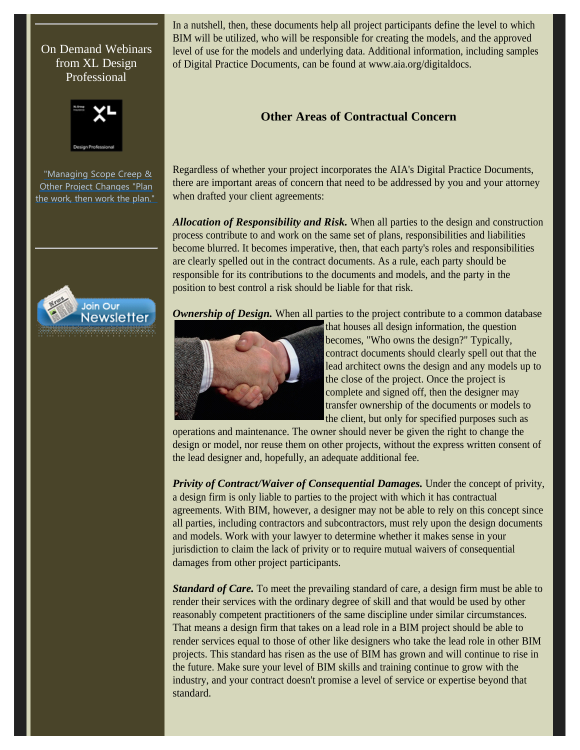## On Demand Webinars from XL Design Professional



"Managing Scope Creep & Other Project Changes "Plan the work, then work the plan."



In a nutshell, then, these documents help all project participants define the level to which BIM will be utilized, who will be responsible for creating the models, and the approved level of use for the models and underlying data. Additional information, including samples of Digital Practice Documents, can be found at www.aia.org/digitaldocs.

# **Other Areas of Contractual Concern**

Regardless of whether your project incorporates the AIA's Digital Practice Documents, there are important areas of concern that need to be addressed by you and your attorney when drafted your client agreements:

*Allocation of Responsibility and Risk.* When all parties to the design and construction process contribute to and work on the same set of plans, responsibilities and liabilities become blurred. It becomes imperative, then, that each party's roles and responsibilities are clearly spelled out in the contract documents. As a rule, each party should be responsible for its contributions to the documents and models, and the party in the position to best control a risk should be liable for that risk.

**Ownership of Design.** When all parties to the project contribute to a common database



that houses all design information, the question becomes, "Who owns the design?" Typically, contract documents should clearly spell out that the lead architect owns the design and any models up to the close of the project. Once the project is complete and signed off, then the designer may transfer ownership of the documents or models to the client, but only for specified purposes such as

operations and maintenance. The owner should never be given the right to change the design or model, nor reuse them on other projects, without the express written consent of the lead designer and, hopefully, an adequate additional fee.

*Privity of Contract/Waiver of Consequential Damages.* Under the concept of privity, a design firm is only liable to parties to the project with which it has contractual agreements. With BIM, however, a designer may not be able to rely on this concept since all parties, including contractors and subcontractors, must rely upon the design documents and models. Work with your lawyer to determine whether it makes sense in your jurisdiction to claim the lack of privity or to require mutual waivers of consequential damages from other project participants.

*Standard of Care.* To meet the prevailing standard of care, a design firm must be able to render their services with the ordinary degree of skill and that would be used by other reasonably competent practitioners of the same discipline under similar circumstances. That means a design firm that takes on a lead role in a BIM project should be able to render services equal to those of other like designers who take the lead role in other BIM projects. This standard has risen as the use of BIM has grown and will continue to rise in the future. Make sure your level of BIM skills and training continue to grow with the industry, and your contract doesn't promise a level of service or expertise beyond that standard.